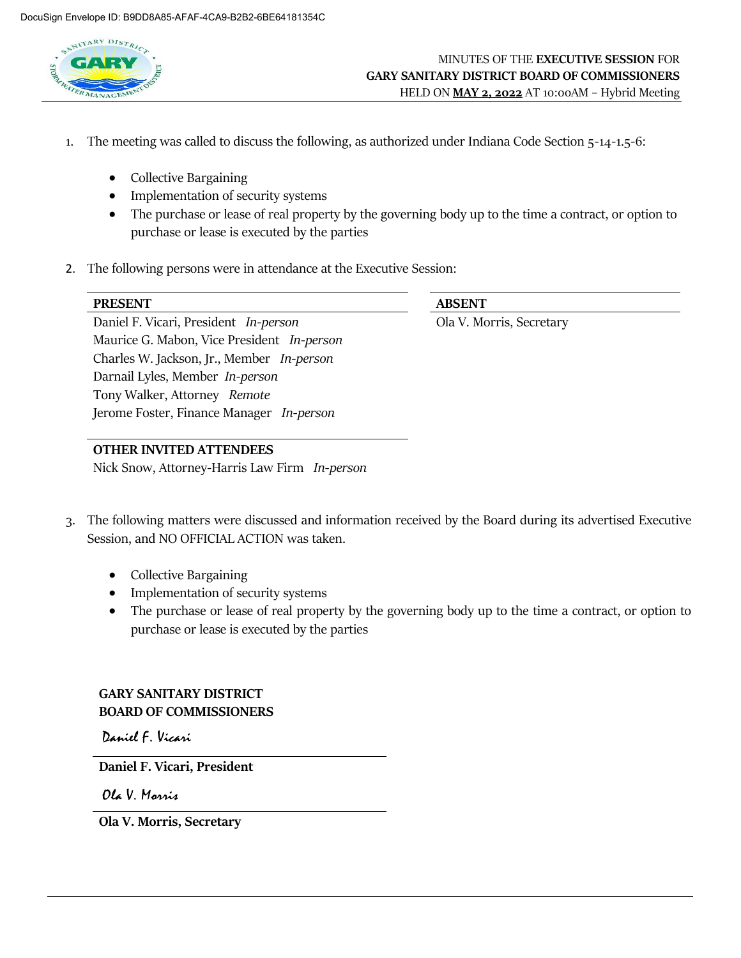

- 1. The meeting was called to discuss the following, as authorized under Indiana Code Section 5-14-1.5-6:
	- Collective Bargaining
	- Implementation of security systems
	- The purchase or lease of real property by the governing body up to the time a contract, or option to purchase or lease is executed by the parties
- 2. The following persons were in attendance at the Executive Session:

| <b>PRESENT</b>                             | <b>ABSENT</b>            |
|--------------------------------------------|--------------------------|
| Daniel F. Vicari, President In-person      | Ola V. Morris, Secretary |
| Maurice G. Mabon, Vice President In-person |                          |
| Charles W. Jackson, Jr., Member In-person  |                          |
| Darnail Lyles, Member In-person            |                          |
| Tony Walker, Attorney Remote               |                          |
| Jerome Foster, Finance Manager In-person   |                          |

#### **OTHER INVITED ATTENDEES**

Nick Snow, Attorney-Harris Law Firm *In-person*

- 3. The following matters were discussed and information received by the Board during its advertised Executive Session, and NO OFFICIAL ACTION was taken.
	- Collective Bargaining
	- Implementation of security systems
	- The purchase or lease of real property by the governing body up to the time a contract, or option to purchase or lease is executed by the parties

# **GARY SANITARY DISTRICT BOARD OF COMMISSIONERS**

Daniel F. Vicari

**Daniel F. Vicari, President**

Ola V. Marris

**Ola V. Morris, Secretary**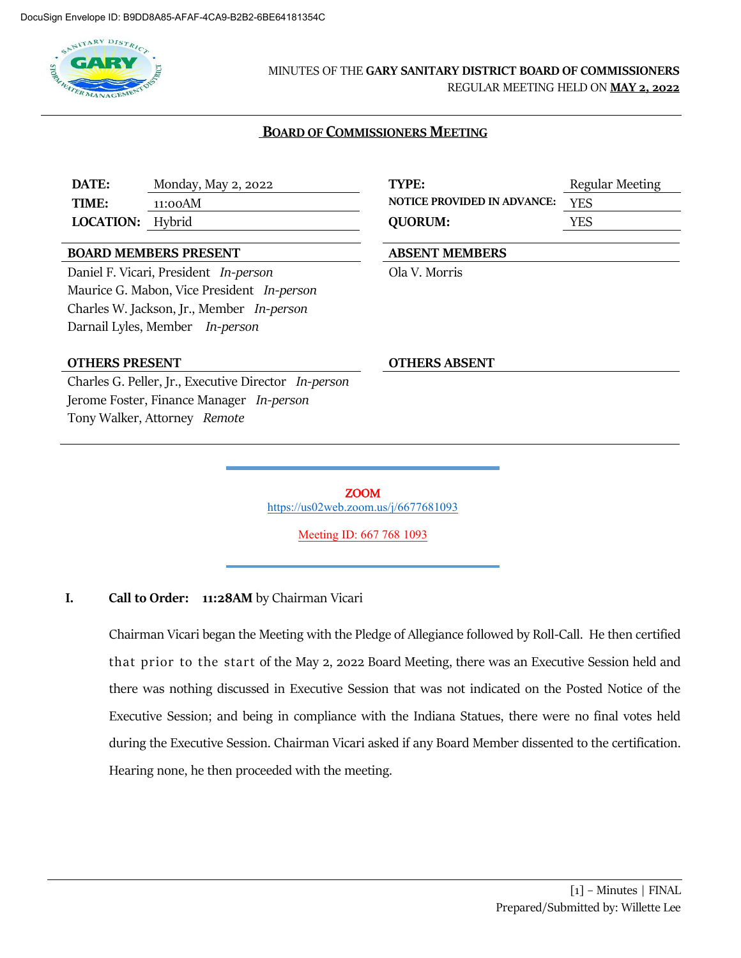

# MINUTES OF THE **GARY SANITARY DISTRICT BOARD OF COMMISSIONERS**

REGULAR MEETING HELD ON **MAY 2, 2022**

#### **BOARD OF COMMISSIONERS MEETING**

**DATE:** Monday, May 2, 2022 **TYPE:** Regular Meeting **TIME:** 11:00AM **NOTICE PROVIDED IN ADVANCE:** YES **LOCATION:** Hybrid **QUORUM:** YES

#### **BOARD MEMBERS PRESENT ABSENT MEMBERS**

Daniel F. Vicari, President *In-person* Ola V. Morris Maurice G. Mabon, Vice President *In-person* Charles W. Jackson, Jr., Member *In-person* Darnail Lyles, Member *In-person*

#### **OTHERS PRESENT OTHERS ABSENT**

Charles G. Peller, Jr., Executive Director *In-person* Jerome Foster, Finance Manager *In-person* Tony Walker, Attorney *Remote*

ZOOM <https://us02web.zoom.us/j/6677681093>

Meeting ID: 667 768 1093

### **I. Call to Order: 11:28AM** by Chairman Vicari

Chairman Vicari began the Meeting with the Pledge of Allegiance followed by Roll-Call. He then certified that prior to the start of the May 2, 2022 Board Meeting, there was an Executive Session held and there was nothing discussed in Executive Session that was not indicated on the Posted Notice of the Executive Session; and being in compliance with the Indiana Statues, there were no final votes held during the Executive Session. Chairman Vicari asked if any Board Member dissented to the certification. Hearing none, he then proceeded with the meeting.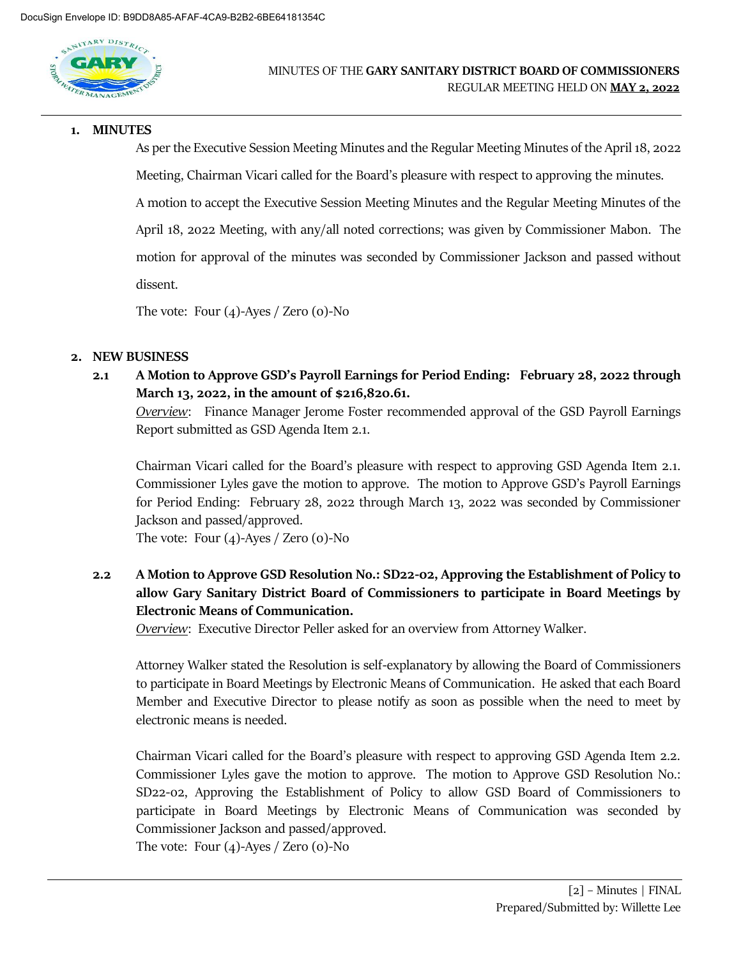

#### **1. MINUTES**

As per the Executive Session Meeting Minutes and the Regular Meeting Minutes of the April 18, 2022 Meeting, Chairman Vicari called for the Board's pleasure with respect to approving the minutes. A motion to accept the Executive Session Meeting Minutes and the Regular Meeting Minutes of the April 18, 2022 Meeting, with any/all noted corrections; was given by Commissioner Mabon. The motion for approval of the minutes was seconded by Commissioner Jackson and passed without dissent.

The vote: Four  $(4)$ -Ayes / Zero  $(0)$ -No

### **2. NEW BUSINESS**

**2.1 A Motion to Approve GSD's Payroll Earnings for Period Ending: February 28, 2022 through March 13, 2022, in the amount of \$216,820.61.**

*Overview*: Finance Manager Jerome Foster recommended approval of the GSD Payroll Earnings Report submitted as GSD Agenda Item 2.1.

Chairman Vicari called for the Board's pleasure with respect to approving GSD Agenda Item 2.1. Commissioner Lyles gave the motion to approve. The motion to Approve GSD's Payroll Earnings for Period Ending: February 28, 2022 through March 13, 2022 was seconded by Commissioner Jackson and passed/approved.

The vote: Four (4)-Ayes / Zero (0)-No

**2.2 A Motion to Approve GSD Resolution No.: SD22-02, Approving the Establishment of Policy to allow Gary Sanitary District Board of Commissioners to participate in Board Meetings by Electronic Means of Communication.**

*Overview*: Executive Director Peller asked for an overview from Attorney Walker.

Attorney Walker stated the Resolution is self-explanatory by allowing the Board of Commissioners to participate in Board Meetings by Electronic Means of Communication. He asked that each Board Member and Executive Director to please notify as soon as possible when the need to meet by electronic means is needed.

Chairman Vicari called for the Board's pleasure with respect to approving GSD Agenda Item 2.2. Commissioner Lyles gave the motion to approve. The motion to Approve GSD Resolution No.: SD22-02, Approving the Establishment of Policy to allow GSD Board of Commissioners to participate in Board Meetings by Electronic Means of Communication was seconded by Commissioner Jackson and passed/approved.

The vote: Four (4)-Ayes / Zero (0)-No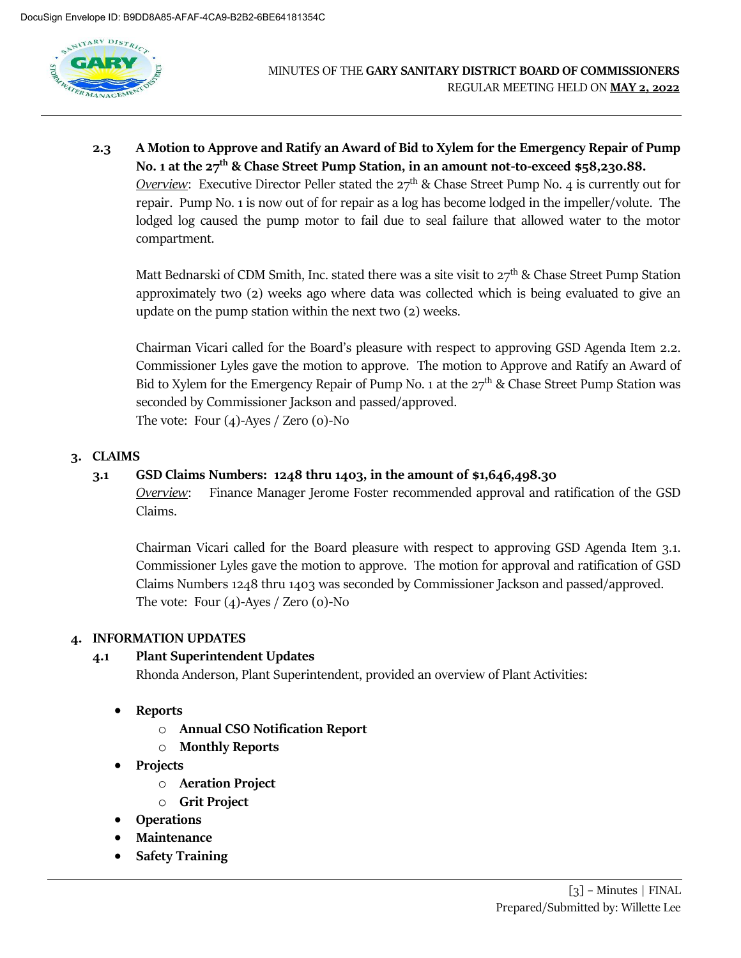

**2.3 A Motion to Approve and Ratify an Award of Bid to Xylem for the Emergency Repair of Pump No. 1 at the 27th & Chase Street Pump Station, in an amount not-to-exceed \$58,230.88.** *Overview*: Executive Director Peller stated the 27<sup>th</sup> & Chase Street Pump No. 4 is currently out for repair. Pump No. 1 is now out of for repair as a log has become lodged in the impeller/volute. The lodged log caused the pump motor to fail due to seal failure that allowed water to the motor compartment.

Matt Bednarski of CDM Smith, Inc. stated there was a site visit to  $27<sup>th</sup>$  & Chase Street Pump Station approximately two (2) weeks ago where data was collected which is being evaluated to give an update on the pump station within the next two (2) weeks.

Chairman Vicari called for the Board's pleasure with respect to approving GSD Agenda Item 2.2. Commissioner Lyles gave the motion to approve. The motion to Approve and Ratify an Award of Bid to Xylem for the Emergency Repair of Pump No. 1 at the  $27<sup>th</sup>$  & Chase Street Pump Station was seconded by Commissioner Jackson and passed/approved. The vote: Four (4)-Ayes / Zero (0)-No

# **3. CLAIMS**

## **3.1 GSD Claims Numbers: 1248 thru 1403, in the amount of \$1,646,498.30**

*Overview*: Finance Manager Jerome Foster recommended approval and ratification of the GSD Claims.

Chairman Vicari called for the Board pleasure with respect to approving GSD Agenda Item 3.1. Commissioner Lyles gave the motion to approve. The motion for approval and ratification of GSD Claims Numbers 1248 thru 1403 was seconded by Commissioner Jackson and passed/approved. The vote: Four  $(4)$ -Ayes / Zero  $(0)$ -No

### **4. INFORMATION UPDATES**

# **4.1 Plant Superintendent Updates**

Rhonda Anderson, Plant Superintendent, provided an overview of Plant Activities:

- **Reports**
	- o **Annual CSO Notification Report**
	- o **Monthly Reports**
- **Projects** 
	- o **Aeration Project**
	- o **Grit Project**
- **Operations**
- **Maintenance**
- **Safety Training**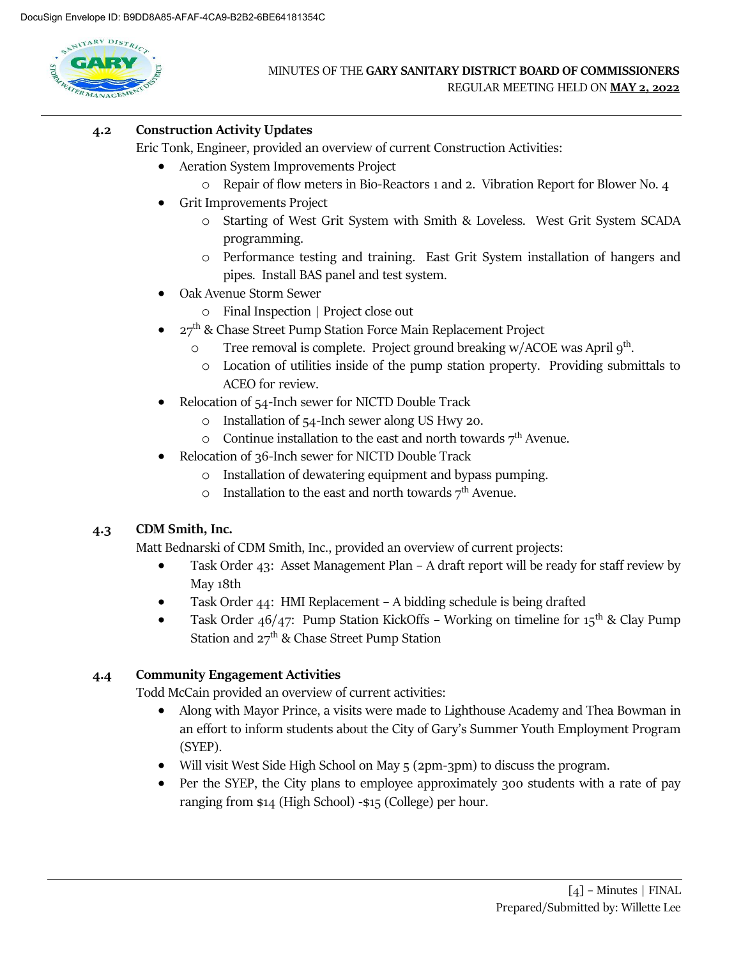

# **4.2 Construction Activity Updates**

Eric Tonk, Engineer, provided an overview of current Construction Activities:

- Aeration System Improvements Project
	- o Repair of flow meters in Bio-Reactors 1 and 2. Vibration Report for Blower No. 4
- Grit Improvements Project
	- o Starting of West Grit System with Smith & Loveless. West Grit System SCADA programming.
	- o Performance testing and training. East Grit System installation of hangers and pipes. Install BAS panel and test system.
- Oak Avenue Storm Sewer
	- o Final Inspection | Project close out
- $27^{\rm th}$  & Chase Street Pump Station Force Main Replacement Project
	- o Tree removal is complete. Project ground breaking w/ACOE was April 9<sup>th</sup>.
		- o Location of utilities inside of the pump station property. Providing submittals to ACEO for review.
- Relocation of 54-Inch sewer for NICTD Double Track
	- o Installation of 54-Inch sewer along US Hwy 20.
	- $\circ$  Continue installation to the east and north towards  $7<sup>th</sup>$  Avenue.
- Relocation of 36-Inch sewer for NICTD Double Track
	- o Installation of dewatering equipment and bypass pumping.
	- o Installation to the east and north towards  $7<sup>th</sup>$  Avenue.

### **4.3 CDM Smith, Inc.**

Matt Bednarski of CDM Smith, Inc., provided an overview of current projects:

- Task Order 43: Asset Management Plan A draft report will be ready for staff review by May 18th
- Task Order 44: HMI Replacement A bidding schedule is being drafted
- Task Order  $46/47$ : Pump Station KickOffs Working on timeline for  $15^{th}$  & Clay Pump Station and  $27<sup>th</sup>$  & Chase Street Pump Station

### **4.4 Community Engagement Activities**

Todd McCain provided an overview of current activities:

- Along with Mayor Prince, a visits were made to Lighthouse Academy and Thea Bowman in an effort to inform students about the City of Gary's Summer Youth Employment Program (SYEP).
- Will visit West Side High School on May 5 (2pm-3pm) to discuss the program.
- Per the SYEP, the City plans to employee approximately 300 students with a rate of pay ranging from \$14 (High School) -\$15 (College) per hour.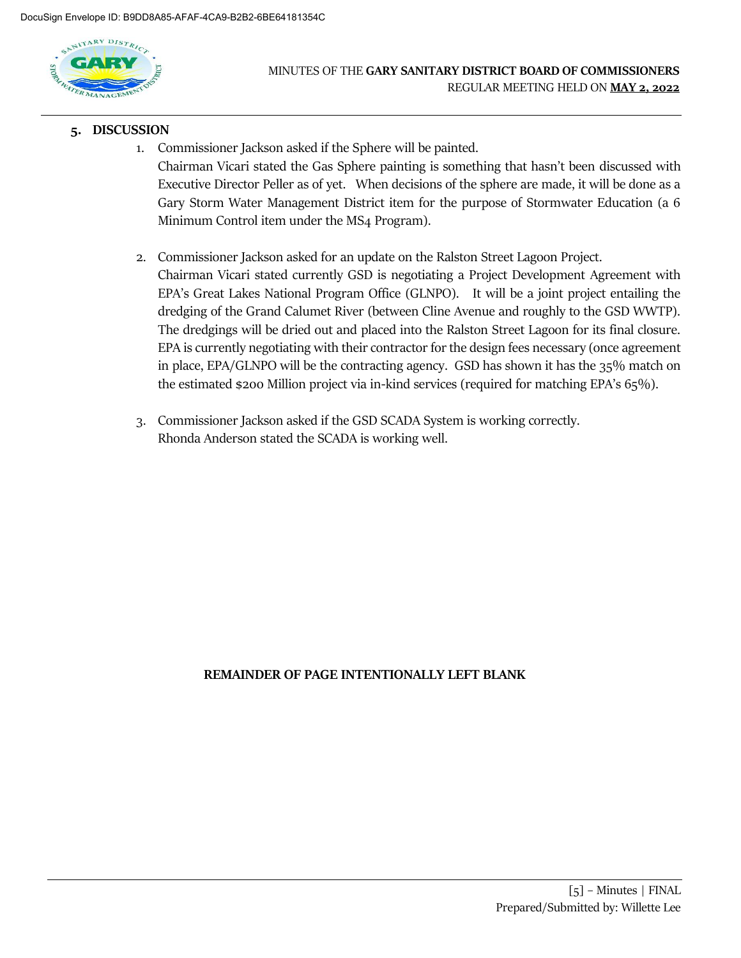

#### **5. DISCUSSION**

- 1. Commissioner Jackson asked if the Sphere will be painted. Chairman Vicari stated the Gas Sphere painting is something that hasn't been discussed with Executive Director Peller as of yet. When decisions of the sphere are made, it will be done as a Gary Storm Water Management District item for the purpose of Stormwater Education (a 6 Minimum Control item under the MS4 Program).
- 2. Commissioner Jackson asked for an update on the Ralston Street Lagoon Project. Chairman Vicari stated currently GSD is negotiating a Project Development Agreement with EPA's Great Lakes National Program Office (GLNPO). It will be a joint project entailing the dredging of the Grand Calumet River (between Cline Avenue and roughly to the GSD WWTP). The dredgings will be dried out and placed into the Ralston Street Lagoon for its final closure. EPA is currently negotiating with their contractor for the design fees necessary (once agreement in place, EPA/GLNPO will be the contracting agency. GSD has shown it has the 35% match on the estimated \$200 Million project via in-kind services (required for matching EPA's 65%).
- 3. Commissioner Jackson asked if the GSD SCADA System is working correctly. Rhonda Anderson stated the SCADA is working well.

### **REMAINDER OF PAGE INTENTIONALLY LEFT BLANK**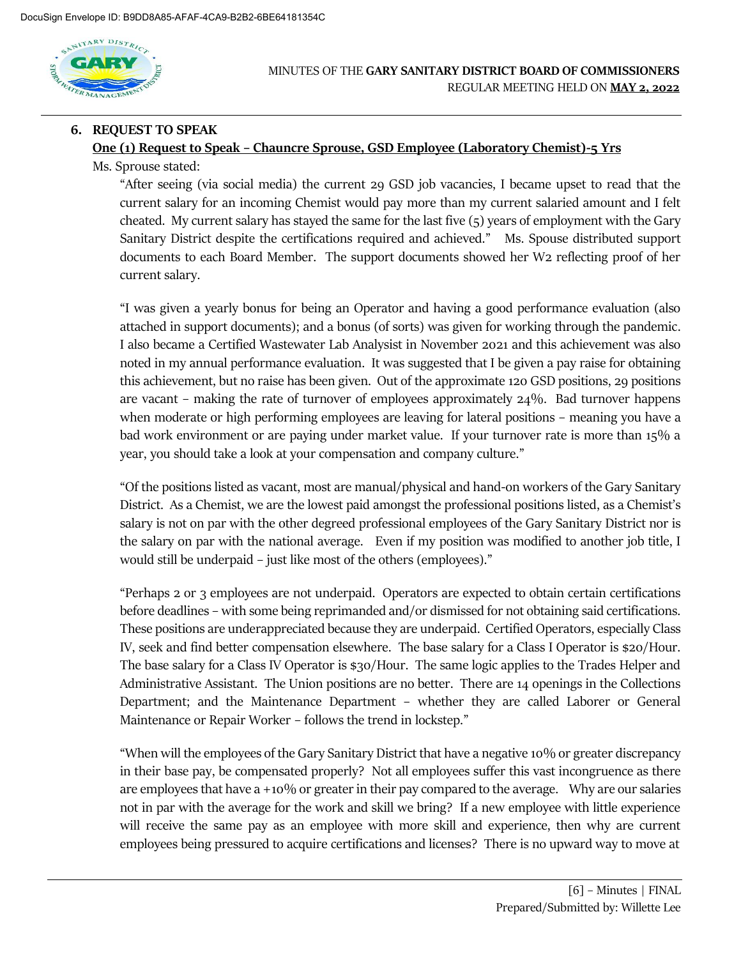

### MINUTES OF THE **GARY SANITARY DISTRICT BOARD OF COMMISSIONERS** REGULAR MEETING HELD ON **MAY 2, 2022**

# **6. REQUEST TO SPEAK One (1) Request to Speak – Chauncre Sprouse, GSD Employee (Laboratory Chemist)-5 Yrs** Ms. Sprouse stated:

"After seeing (via social media) the current 29 GSD job vacancies, I became upset to read that the current salary for an incoming Chemist would pay more than my current salaried amount and I felt cheated. My current salary has stayed the same for the last five (5) years of employment with the Gary Sanitary District despite the certifications required and achieved." Ms. Spouse distributed support documents to each Board Member. The support documents showed her W2 reflecting proof of her current salary.

"I was given a yearly bonus for being an Operator and having a good performance evaluation (also attached in support documents); and a bonus (of sorts) was given for working through the pandemic. I also became a Certified Wastewater Lab Analysist in November 2021 and this achievement was also noted in my annual performance evaluation. It was suggested that I be given a pay raise for obtaining this achievement, but no raise has been given. Out of the approximate 120 GSD positions, 29 positions are vacant – making the rate of turnover of employees approximately 24%. Bad turnover happens when moderate or high performing employees are leaving for lateral positions – meaning you have a bad work environment or are paying under market value. If your turnover rate is more than 15% a year, you should take a look at your compensation and company culture."

"Of the positions listed as vacant, most are manual/physical and hand-on workers of the Gary Sanitary District. As a Chemist, we are the lowest paid amongst the professional positions listed, as a Chemist's salary is not on par with the other degreed professional employees of the Gary Sanitary District nor is the salary on par with the national average. Even if my position was modified to another job title, I would still be underpaid – just like most of the others (employees)."

"Perhaps 2 or 3 employees are not underpaid. Operators are expected to obtain certain certifications before deadlines – with some being reprimanded and/or dismissed for not obtaining said certifications. These positions are underappreciated because they are underpaid. Certified Operators, especially Class IV, seek and find better compensation elsewhere. The base salary for a Class I Operator is \$20/Hour. The base salary for a Class IV Operator is \$30/Hour. The same logic applies to the Trades Helper and Administrative Assistant. The Union positions are no better. There are 14 openings in the Collections Department; and the Maintenance Department – whether they are called Laborer or General Maintenance or Repair Worker – follows the trend in lockstep."

"When will the employees of the Gary Sanitary District that have a negative 10% or greater discrepancy in their base pay, be compensated properly? Not all employees suffer this vast incongruence as there are employees that have a +10% or greater in their pay compared to the average. Why are our salaries not in par with the average for the work and skill we bring? If a new employee with little experience will receive the same pay as an employee with more skill and experience, then why are current employees being pressured to acquire certifications and licenses? There is no upward way to move at